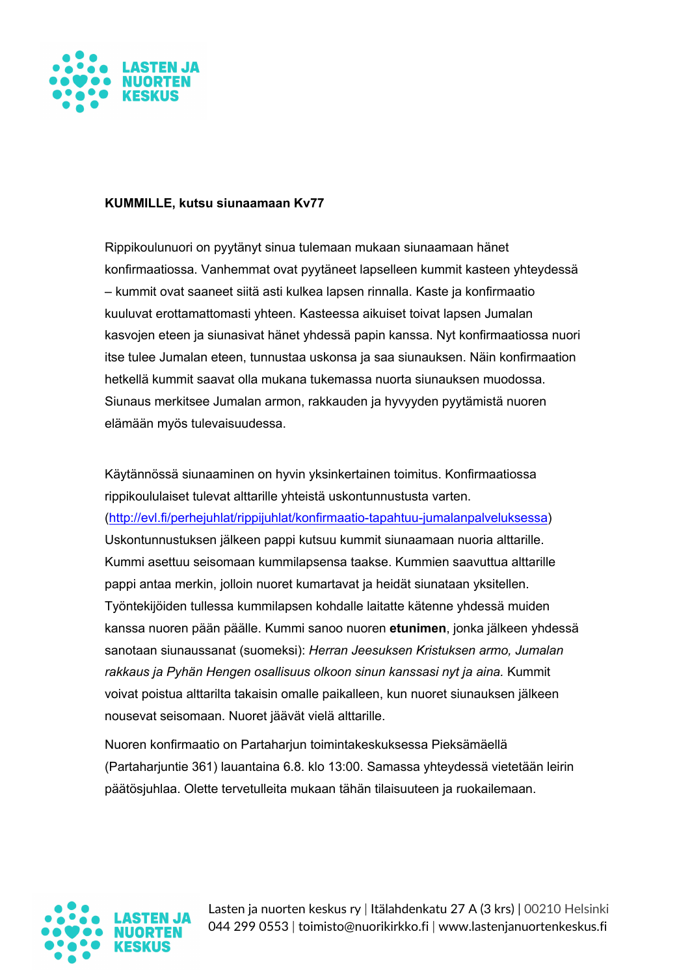

## **KUMMILLE, kutsu siunaamaan Kv77**

Rippikoulunuori on pyytänyt sinua tulemaan mukaan siunaamaan hänet konfirmaatiossa. Vanhemmat ovat pyytäneet lapselleen kummit kasteen yhteydessä – kummit ovat saaneet siitä asti kulkea lapsen rinnalla. Kaste ja konfirmaatio kuuluvat erottamattomasti yhteen. Kasteessa aikuiset toivat lapsen Jumalan kasvojen eteen ja siunasivat hänet yhdessä papin kanssa. Nyt konfirmaatiossa nuori itse tulee Jumalan eteen, tunnustaa uskonsa ja saa siunauksen. Näin konfirmaation hetkellä kummit saavat olla mukana tukemassa nuorta siunauksen muodossa. Siunaus merkitsee Jumalan armon, rakkauden ja hyvyyden pyytämistä nuoren elämään myös tulevaisuudessa.

Käytännössä siunaaminen on hyvin yksinkertainen toimitus. Konfirmaatiossa rippikoululaiset tulevat alttarille yhteistä uskontunnustusta varten. (http://evl.fi/perhejuhlat/rippijuhlat/konfirmaatio-tapahtuu-jumalanpalveluksessa) Uskontunnustuksen jälkeen pappi kutsuu kummit siunaamaan nuoria alttarille. Kummi asettuu seisomaan kummilapsensa taakse. Kummien saavuttua alttarille pappi antaa merkin, jolloin nuoret kumartavat ja heidät siunataan yksitellen. Työntekijöiden tullessa kummilapsen kohdalle laitatte kätenne yhdessä muiden kanssa nuoren pään päälle. Kummi sanoo nuoren **etunimen**, jonka jälkeen yhdessä sanotaan siunaussanat (suomeksi): *Herran Jeesuksen Kristuksen armo, Jumalan rakkaus ja Pyhän Hengen osallisuus olkoon sinun kanssasi nyt ja aina.* Kummit voivat poistua alttarilta takaisin omalle paikalleen, kun nuoret siunauksen jälkeen nousevat seisomaan. Nuoret jäävät vielä alttarille.

Nuoren konfirmaatio on Partaharjun toimintakeskuksessa Pieksämäellä (Partaharjuntie 361) lauantaina 6.8. klo 13:00. Samassa yhteydessä vietetään leirin päätösjuhlaa. Olette tervetulleita mukaan tähän tilaisuuteen ja ruokailemaan.



Lasten ja nuorten keskus ry | Itälahdenkatu 27 A (3 krs) | 00210 Helsinki 044 299 0553 | toimisto@nuorikirkko.fi | www.lastenjanuortenkeskus.fi